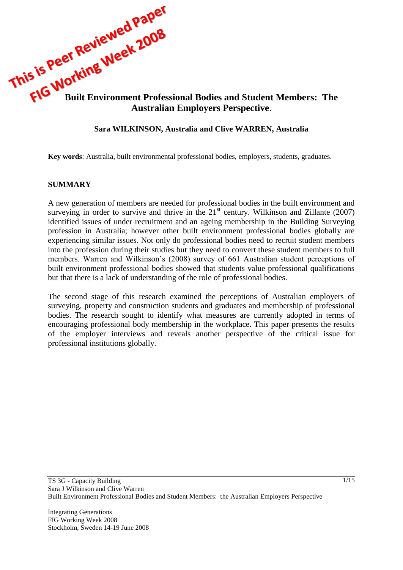

### **Sara WILKINSON, Australia and Clive WARREN, Australia**

**Key words**: Australia, built environmental professional bodies, employers, students, graduates.

#### **SUMMARY**

A new generation of members are needed for professional bodies in the built environment and surveying in order to survive and thrive in the  $21<sup>st</sup>$  century. Wilkinson and Zillante (2007) identified issues of under recruitment and an ageing membership in the Building Surveying profession in Australia; however other built environment professional bodies globally are experiencing similar issues. Not only do professional bodies need to recruit student members into the profession during their studies but they need to convert these student members to full members. Warren and Wilkinson's (2008) survey of 661 Australian student perceptions of built environment professional bodies showed that students value professional qualifications but that there is a lack of understanding of the role of professional bodies.

The second stage of this research examined the perceptions of Australian employers of surveying, property and construction students and graduates and membership of professional bodies. The research sought to identify what measures are currently adopted in terms of encouraging professional body membership in the workplace. This paper presents the results of the employer interviews and reveals another perspective of the critical issue for professional institutions globally.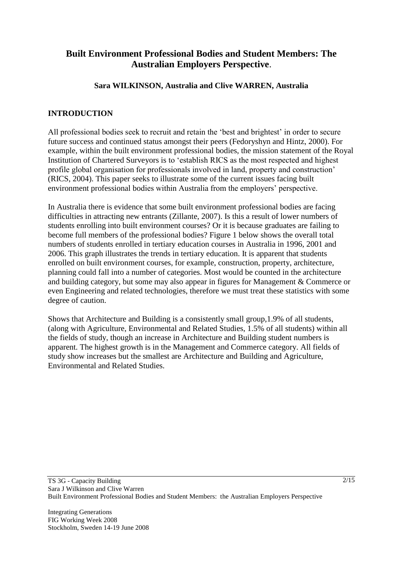# **Built Environment Professional Bodies and Student Members: The Australian Employers Perspective**.

# **Sara WILKINSON, Australia and Clive WARREN, Australia**

# **INTRODUCTION**

All professional bodies seek to recruit and retain the 'best and brightest' in order to secure future success and continued status amongst their peers (Fedoryshyn and Hintz, 2000). For example, within the built environment professional bodies, the mission statement of the Royal Institution of Chartered Surveyors is to 'establish RICS as the most respected and highest profile global organisation for professionals involved in land, property and construction' (RICS, 2004). This paper seeks to illustrate some of the current issues facing built environment professional bodies within Australia from the employers' perspective.

In Australia there is evidence that some built environment professional bodies are facing difficulties in attracting new entrants (Zillante, 2007). Is this a result of lower numbers of students enrolling into built environment courses? Or it is because graduates are failing to become full members of the professional bodies? Figure 1 below shows the overall total numbers of students enrolled in tertiary education courses in Australia in 1996, 2001 and 2006. This graph illustrates the trends in tertiary education. It is apparent that students enrolled on built environment courses, for example, construction, property, architecture, planning could fall into a number of categories. Most would be counted in the architecture and building category, but some may also appear in figures for Management & Commerce or even Engineering and related technologies, therefore we must treat these statistics with some degree of caution.

Shows that Architecture and Building is a consistently small group,1.9% of all students, (along with Agriculture, Environmental and Related Studies, 1.5% of all students) within all the fields of study, though an increase in Architecture and Building student numbers is apparent. The highest growth is in the Management and Commerce category. All fields of study show increases but the smallest are Architecture and Building and Agriculture, Environmental and Related Studies.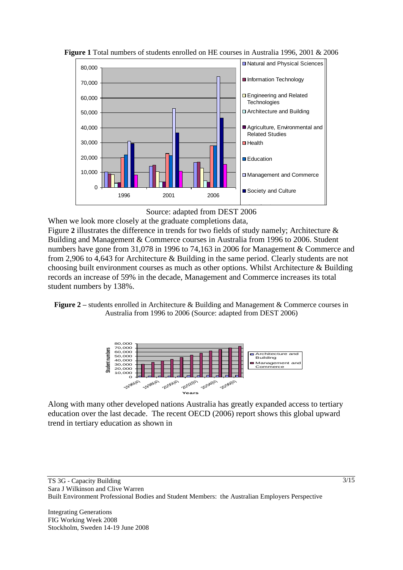

**Figure 1** Total numbers of students enrolled on HE courses in Australia 1996, 2001 & 2006



 $\mathcal{F}_{\mathcal{F}}$ [Figure](#page-2-0) 2 illustrates the difference in trends for two fields of study namely; Architecture & When we look more closely at the graduate completions data, Building and Management & Commerce courses in Australia from 1996 to 2006. Student numbers have gone from 31,078 in 1996 to 74,163 in 2006 for Management & Commerce and from 2,906 to 4,643 for Architecture & Building in the same period. Clearly students are not choosing built environment courses as much as other options. Whilst Architecture & Building records an increase of 59% in the decade, Management and Commerce increases its total student numbers by 138%.

<span id="page-2-0"></span>**Figure 2** – students enrolled in Architecture & Building and Management & Commerce courses in Australia from 1996 to 2006 (Source: adapted from DEST 2006)



Along with many other developed nations Australia has greatly expanded access to tertiary education over the last decade. The recent OECD (2006) report shows this global upward trend in tertiary education as shown in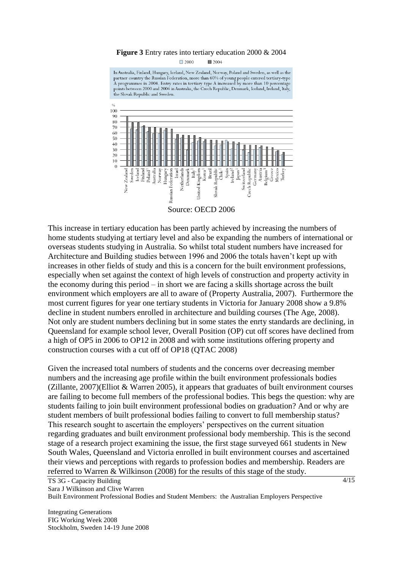#### **Figure 3** Entry rates into tertiary education 2000 & 2004

 $\Box$  2000  $2004$ 

In Australia, Finland, Hungary, Iceland, New Zealand, Norway, Poland and Sweden, as well as the partner country the Russian Federation, more than 60% of young people entered tertiary-type A programmes in 2004. Entry rates in tertiary type A increased by more than 10 percentage points between 2000 and 2004 in Australia, the Czech Republic, Denmark, Iceland, Ireland, Italy, the Slovak Republic and Sweden.



This increase in tertiary education has been partly achieved by increasing the numbers of home students studying at tertiary level and also be expanding the numbers of international or overseas students studying in Australia. So whilst total student numbers have increased for Architecture and Building studies between 1996 and 2006 the totals haven't kept up with increases in other fields of study and this is a concern for the built environment professions, especially when set against the context of high levels of construction and property activity in the economy during this period – in short we are facing a skills shortage across the built environment which employers are all to aware of (Property Australia, 2007). Furthermore the most current figures for year one tertiary students in Victoria for January 2008 show a 9.8% decline in student numbers enrolled in architecture and building courses (The Age, 2008). Not only are student numbers declining but in some states the enrty standards are declining, in Queensland for example school lever, Overall Position (OP) cut off scores have declined from a high of OP5 in 2006 to OP12 in 2008 and with some institutions offering property and construction courses with a cut off of OP18 (QTAC 2008)

Given the increased total numbers of students and the concerns over decreasing member numbers and the increasing age profile within the built environment professionals bodies (Zillante, 2007)(Elliot & Warren 2005), it appears that graduates of built environment courses are failing to become full members of the professional bodies. This begs the question: why are students failing to join built environment professional bodies on graduation? And or why are student members of built professional bodies failing to convert to full membership status? This research sought to ascertain the employers' perspectives on the current situation regarding graduates and built environment professional body membership. This is the second stage of a research project examining the issue, the first stage surveyed 661 students in New South Wales, Queensland and Victoria enrolled in built environment courses and ascertained their views and perceptions with regards to profession bodies and membership. Readers are referred to Warren & Wilkinson (2008) for the results of this stage of the study.

TS 3G - Capacity Building Sara J Wilkinson and Clive Warren Built Environment Professional Bodies and Student Members: the Australian Employers Perspective

Integrating Generations FIG Working Week 2008 Stockholm, Sweden 14-19 June 2008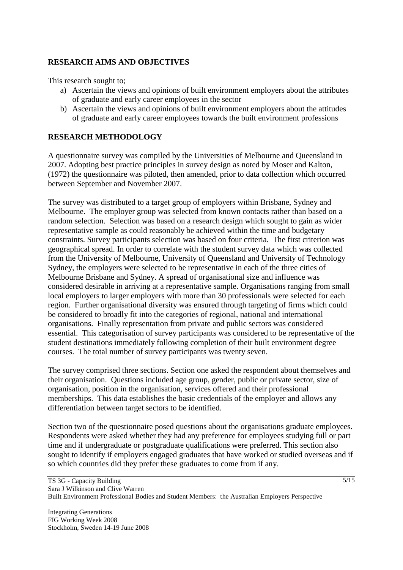# **RESEARCH AIMS AND OBJECTIVES**

This research sought to;

- a) Ascertain the views and opinions of built environment employers about the attributes of graduate and early career employees in the sector
- b) Ascertain the views and opinions of built environment employers about the attitudes of graduate and early career employees towards the built environment professions

# **RESEARCH METHODOLOGY**

A questionnaire survey was compiled by the Universities of Melbourne and Queensland in 2007. Adopting best practice principles in survey design as noted by Moser and Kalton, (1972) the questionnaire was piloted, then amended, prior to data collection which occurred between September and November 2007.

The survey was distributed to a target group of employers within Brisbane, Sydney and Melbourne. The employer group was selected from known contacts rather than based on a random selection. Selection was based on a research design which sought to gain as wider representative sample as could reasonably be achieved within the time and budgetary constraints. Survey participants selection was based on four criteria. The first criterion was geographical spread. In order to correlate with the student survey data which was collected from the University of Melbourne, University of Queensland and University of Technology Sydney, the employers were selected to be representative in each of the three cities of Melbourne Brisbane and Sydney. A spread of organisational size and influence was considered desirable in arriving at a representative sample. Organisations ranging from small local employers to larger employers with more than 30 professionals were selected for each region. Further organisational diversity was ensured through targeting of firms which could be considered to broadly fit into the categories of regional, national and international organisations. Finally representation from private and public sectors was considered essential. This categorisation of survey participants was considered to be representative of the student destinations immediately following completion of their built environment degree courses. The total number of survey participants was twenty seven.

The survey comprised three sections. Section one asked the respondent about themselves and their organisation. Questions included age group, gender, public or private sector, size of organisation, position in the organisation, services offered and their professional memberships. This data establishes the basic credentials of the employer and allows any differentiation between target sectors to be identified.

Section two of the questionnaire posed questions about the organisations graduate employees. Respondents were asked whether they had any preference for employees studying full or part time and if undergraduate or postgraduate qualifications were preferred. This section also sought to identify if employers engaged graduates that have worked or studied overseas and if so which countries did they prefer these graduates to come from if any.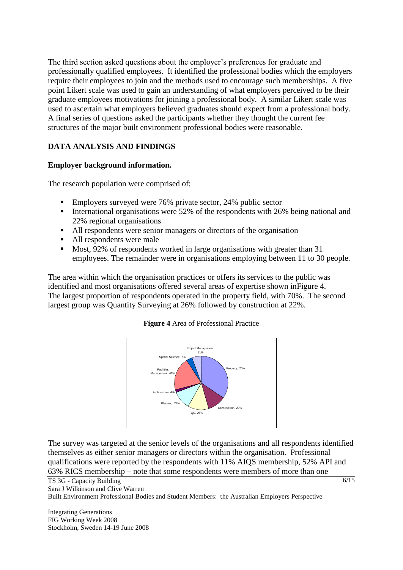The third section asked questions about the employer's preferences for graduate and professionally qualified employees. It identified the professional bodies which the employers require their employees to join and the methods used to encourage such memberships. A five point Likert scale was used to gain an understanding of what employers perceived to be their graduate employees motivations for joining a professional body. A similar Likert scale was used to ascertain what employers believed graduates should expect from a professional body. A final series of questions asked the participants whether they thought the current fee structures of the major built environment professional bodies were reasonable.

# **DATA ANALYSIS AND FINDINGS**

# **Employer background information.**

The research population were comprised of;

- **Employers surveyed were 76% private sector, 24% public sector**
- International organisations were 52% of the respondents with 26% being national and 22% regional organisations
- All respondents were senior managers or directors of the organisation
- All respondents were male
- Most, 92% of respondents worked in large organisations with greater than 31 employees. The remainder were in organisations employing between 11 to 30 people.

<span id="page-5-0"></span>The area within which the organisation practices or offers its services to the public was identified and most organisations offered several areas of expertise shown i[nFigure 4.](#page-5-0) The largest proportion of respondents operated in the property field, with 70%. The second largest group was Quantity Surveying at 26% followed by construction at 22%.

#### **Figure 4** Area of Professional Practice



The survey was targeted at the senior levels of the organisations and all respondents identified themselves as either senior managers or directors within the organisation. Professional qualifications were reported by the respondents with 11% AIQS membership, 52% API and 63% RICS membership – note that some respondents were members of more than one

TS 3G - Capacity Building Sara J Wilkinson and Clive Warren Built Environment Professional Bodies and Student Members: the Australian Employers Perspective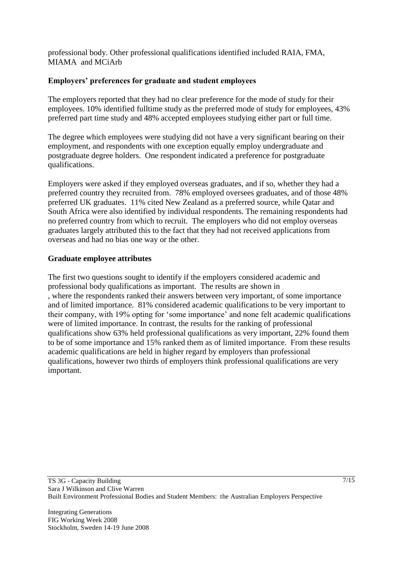professional body. Other professional qualifications identified included RAIA, FMA, MIAMA and MCiArb

# **Employers' preferences for graduate and student employees**

The employers reported that they had no clear preference for the mode of study for their employees. 10% identified fulltime study as the preferred mode of study for employees, 43% preferred part time study and 48% accepted employees studying either part or full time.

The degree which employees were studying did not have a very significant bearing on their employment, and respondents with one exception equally employ undergraduate and postgraduate degree holders. One respondent indicated a preference for postgraduate qualifications.

Employers were asked if they employed overseas graduates, and if so, whether they had a preferred country they recruited from. 78% employed oversees graduates, and of those 48% preferred UK graduates. 11% cited New Zealand as a preferred source, while Qatar and South Africa were also identified by individual respondents. The remaining respondents had no preferred country from which to recruit. The employers who did not employ overseas graduates largely attributed this to the fact that they had not received applications from overseas and had no bias one way or the other.

### **Graduate employee attributes**

The first two questions sought to identify if the employers considered academic and professional body qualifications as important. The results are shown in , where the respondents ranked their answers between very important, of some importance and of limited importance. 81% considered academic qualifications to be very important to their company, with 19% opting for 'some importance' and none felt academic qualifications were of limited importance. In contrast, the results for the ranking of professional qualifications show 63% held professional qualifications as very important, 22% found them to be of some importance and 15% ranked them as of limited importance. From these results academic qualifications are held in higher regard by employers than professional qualifications, however two thirds of employers think professional qualifications are very important.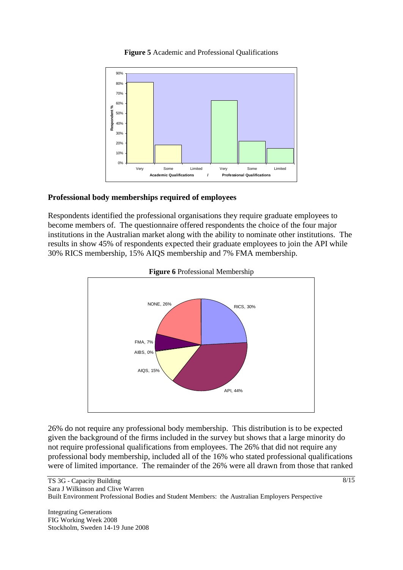

#### **Figure 5** Academic and Professional Qualifications

#### **Professional body memberships required of employees**

Respondents identified the professional organisations they require graduate employees to become members of. The questionnaire offered respondents the choice of the four major institutions in the Australian market along with the ability to nominate other institutions. The results in show 45% of respondents expected their graduate employees to join the API while 30% RICS membership, 15% AIQS membership and 7% FMA membership.





26% do not require any professional body membership. This distribution is to be expected given the background of the firms included in the survey but shows that a large minority do not require professional qualifications from employees. The 26% that did not require any professional body membership, included all of the 16% who stated professional qualifications were of limited importance. The remainder of the 26% were all drawn from those that ranked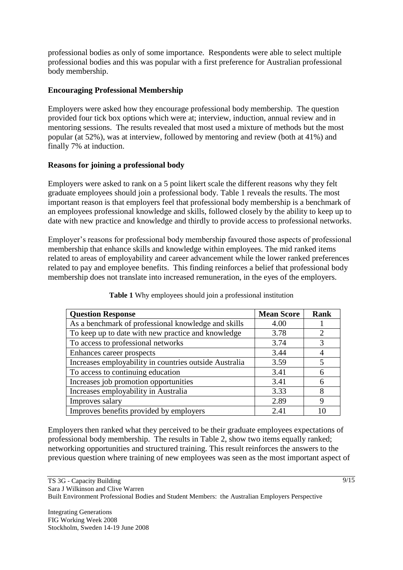professional bodies as only of some importance. Respondents were able to select multiple professional bodies and this was popular with a first preference for Australian professional body membership.

# **Encouraging Professional Membership**

Employers were asked how they encourage professional body membership. The question provided four tick box options which were at; interview, induction, annual review and in mentoring sessions. The results revealed that most used a mixture of methods but the most popular (at 52%), was at interview, followed by mentoring and review (both at 41%) and finally 7% at induction.

### **Reasons for joining a professional body**

Employers were asked to rank on a 5 point likert scale the different reasons why they felt graduate employees should join a professional body. Table 1 reveals the results. The most important reason is that employers feel that professional body membership is a benchmark of an employees professional knowledge and skills, followed closely by the ability to keep up to date with new practice and knowledge and thirdly to provide access to professional networks.

Employer's reasons for professional body membership favoured those aspects of professional membership that enhance skills and knowledge within employees. The mid ranked items related to areas of employability and career advancement while the lower ranked preferences related to pay and employee benefits. This finding reinforces a belief that professional body membership does not translate into increased remuneration, in the eyes of the employers.

| <b>Question Response</b>                               | <b>Mean Score</b> | <b>Rank</b>    |
|--------------------------------------------------------|-------------------|----------------|
| As a benchmark of professional knowledge and skills    | 4.00              |                |
| To keep up to date with new practice and knowledge     | 3.78              | $\overline{2}$ |
| To access to professional networks                     | 3.74              | 3              |
| Enhances career prospects                              | 3.44              |                |
| Increases employability in countries outside Australia | 3.59              | 5              |
| To access to continuing education                      | 3.41              | 6              |
| Increases job promotion opportunities                  | 3.41              | 6              |
| Increases employability in Australia                   | 3.33              | 8              |
| Improves salary                                        | 2.89              | 9              |
| Improves benefits provided by employers                | 2.41              | 10             |

**Table 1** Why employees should join a professional institution

Employers then ranked what they perceived to be their graduate employees expectations of professional body membership. The results in [Table 2](#page-9-0), show two items equally ranked; networking opportunities and structured training. This result reinforces the answers to the previous question where training of new employees was seen as the most important aspect of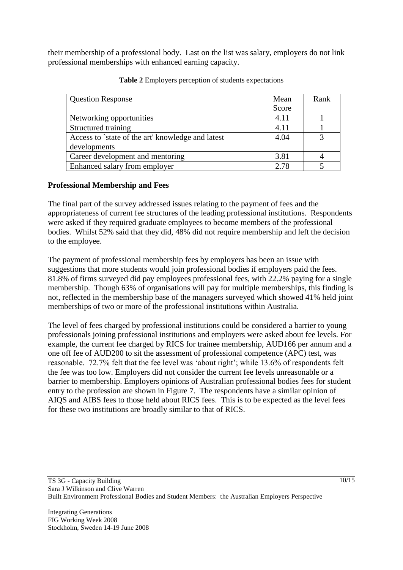their membership of a professional body. Last on the list was salary, employers do not link professional memberships with enhanced earning capacity.

<span id="page-9-0"></span>

| <b>Question Response</b>                          | Mean  | Rank |
|---------------------------------------------------|-------|------|
|                                                   | Score |      |
| Networking opportunities                          | 4.11  |      |
| Structured training                               | 4.11  |      |
| Access to `state of the art' knowledge and latest | 4.04  | 3    |
| developments                                      |       |      |
| Career development and mentoring                  | 3.81  |      |
| Enhanced salary from employer                     | 2.78  |      |

**Table 2** Employers perception of students expectations

# **Professional Membership and Fees**

The final part of the survey addressed issues relating to the payment of fees and the appropriateness of current fee structures of the leading professional institutions. Respondents were asked if they required graduate employees to become members of the professional bodies. Whilst 52% said that they did, 48% did not require membership and left the decision to the employee.

The payment of professional membership fees by employers has been an issue with suggestions that more students would join professional bodies if employers paid the fees. 81.8% of firms surveyed did pay employees professional fees, with 22.2% paying for a single membership. Though 63% of organisations will pay for multiple memberships, this finding is not, reflected in the membership base of the managers surveyed which showed 41% held joint memberships of two or more of the professional institutions within Australia.

The level of fees charged by professional institutions could be considered a barrier to young professionals joining professional institutions and employers were asked about fee levels. For example, the current fee charged by RICS for trainee membership, AUD166 per annum and a one off fee of AUD200 to sit the assessment of professional competence (APC) test, was reasonable. 72.7% felt that the fee level was 'about right'; while 13.6% of respondents felt the fee was too low. Employers did not consider the current fee levels unreasonable or a barrier to membership. Employers opinions of Australian professional bodies fees for student entry to the profession are shown in [Figure 7.](#page-10-0) The respondents have a similar opinion of AIQS and AIBS fees to those held about RICS fees. This is to be expected as the level fees for these two institutions are broadly similar to that of RICS.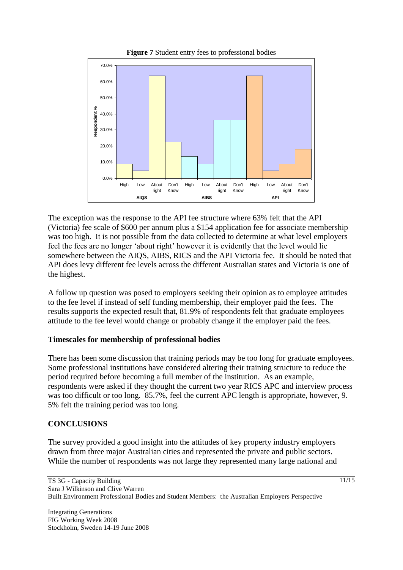<span id="page-10-0"></span>

The exception was the response to the API fee structure where 63% felt that the API (Victoria) fee scale of \$600 per annum plus a \$154 application fee for associate membership was too high. It is not possible from the data collected to determine at what level employers feel the fees are no longer 'about right' however it is evidently that the level would lie somewhere between the AIQS, AIBS, RICS and the API Victoria fee. It should be noted that API does levy different fee levels across the different Australian states and Victoria is one of the highest.

A follow up question was posed to employers seeking their opinion as to employee attitudes to the fee level if instead of self funding membership, their employer paid the fees. The results supports the expected result that, 81.9% of respondents felt that graduate employees attitude to the fee level would change or probably change if the employer paid the fees.

# **Timescales for membership of professional bodies**

There has been some discussion that training periods may be too long for graduate employees. Some professional institutions have considered altering their training structure to reduce the period required before becoming a full member of the institution. As an example, respondents were asked if they thought the current two year RICS APC and interview process was too difficult or too long. 85.7%, feel the current APC length is appropriate, however, 9. 5% felt the training period was too long.

# **CONCLUSIONS**

The survey provided a good insight into the attitudes of key property industry employers drawn from three major Australian cities and represented the private and public sectors. While the number of respondents was not large they represented many large national and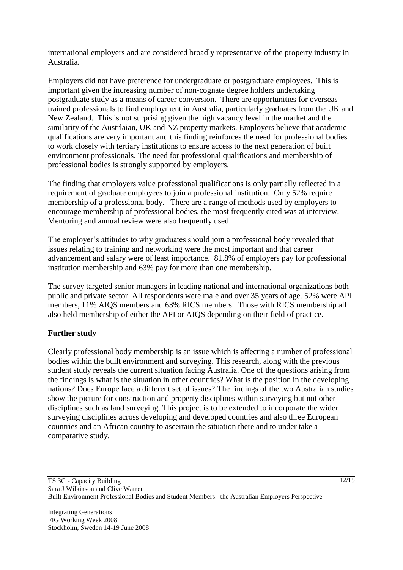international employers and are considered broadly representative of the property industry in Australia.

Employers did not have preference for undergraduate or postgraduate employees. This is important given the increasing number of non-cognate degree holders undertaking postgraduate study as a means of career conversion. There are opportunities for overseas trained professionals to find employment in Australia, particularly graduates from the UK and New Zealand. This is not surprising given the high vacancy level in the market and the similarity of the Austriaian, UK and NZ property markets. Employers believe that academic qualifications are very important and this finding reinforces the need for professional bodies to work closely with tertiary institutions to ensure access to the next generation of built environment professionals. The need for professional qualifications and membership of professional bodies is strongly supported by employers.

The finding that employers value professional qualifications is only partially reflected in a requirement of graduate employees to join a professional institution. Only 52% require membership of a professional body. There are a range of methods used by employers to encourage membership of professional bodies, the most frequently cited was at interview. Mentoring and annual review were also frequently used.

The employer's attitudes to why graduates should join a professional body revealed that issues relating to training and networking were the most important and that career advancement and salary were of least importance. 81.8% of employers pay for professional institution membership and 63% pay for more than one membership.

The survey targeted senior managers in leading national and international organizations both public and private sector. All respondents were male and over 35 years of age. 52% were API members, 11% AIQS members and 63% RICS members. Those with RICS membership all also held membership of either the API or AIQS depending on their field of practice.

# **Further study**

Clearly professional body membership is an issue which is affecting a number of professional bodies within the built environment and surveying. This research, along with the previous student study reveals the current situation facing Australia. One of the questions arising from the findings is what is the situation in other countries? What is the position in the developing nations? Does Europe face a different set of issues? The findings of the two Australian studies show the picture for construction and property disciplines within surveying but not other disciplines such as land surveying. This project is to be extended to incorporate the wider surveying disciplines across developing and developed countries and also three European countries and an African country to ascertain the situation there and to under take a comparative study.

Integrating Generations FIG Working Week 2008 Stockholm, Sweden 14-19 June 2008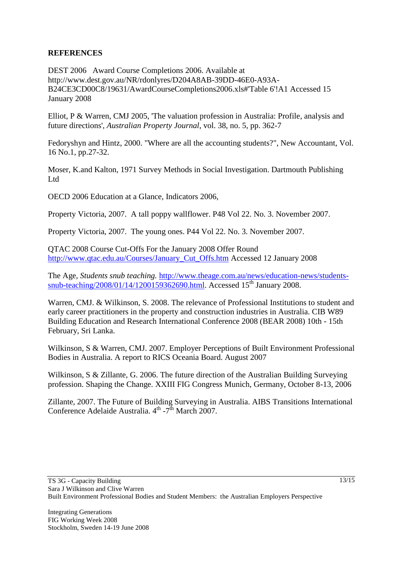# **REFERENCES**

DEST 2006 Award Course Completions 2006. Available at http://www.dest.gov.au/NR/rdonlyres/D204A8AB-39DD-46E0-A93A-B24CE3CD00C8/19631/AwardCourseCompletions2006.xls#'Table 6'!A1 Accessed 15 January 2008

Elliot, P & Warren, CMJ 2005, 'The valuation profession in Australia: Profile, analysis and future directions', *Australian Property Journal*, vol. 38, no. 5, pp. 362-7

Fedoryshyn and Hintz, 2000. "Where are all the accounting students?", New Accountant, Vol. 16 No.1, pp.27-32.

Moser, K.and Kalton, 1971 Survey Methods in Social Investigation. Dartmouth Publishing Ltd

OECD 2006 Education at a Glance, Indicators 2006,

Property Victoria, 2007. A tall poppy wallflower. P48 Vol 22. No. 3. November 2007.

Property Victoria, 2007. The young ones. P44 Vol 22. No. 3. November 2007.

QTAC 2008 Course Cut-Offs For the January 2008 Offer Round [http://www.qtac.edu.au/Courses/January\\_Cut\\_Offs.htm](http://www.qtac.edu.au/Courses/January_Cut_Offs.htm) Accessed 12 January 2008

The Age, *Students snub teaching.* [http://www.theage.com.au/news/education-news/students](http://www.theage.com.au/news/education-news/students-snub-teaching/2008/01/14/1200159362690.html)[snub-teaching/2008/01/14/1200159362690.html.](http://www.theage.com.au/news/education-news/students-snub-teaching/2008/01/14/1200159362690.html) Accessed 15<sup>th</sup> January 2008.

Warren, CMJ. & Wilkinson, S. 2008. The relevance of Professional Institutions to student and early career practitioners in the property and construction industries in Australia. CIB W89 Building Education and Research International Conference 2008 (BEAR 2008) 10th - 15th February, Sri Lanka.

Wilkinson, S & Warren, CMJ. 2007. Employer Perceptions of Built Environment Professional Bodies in Australia. A report to RICS Oceania Board. August 2007

Wilkinson, S & Zillante, G. 2006. The future direction of the Australian Building Surveying profession. Shaping the Change. XXIII FIG Congress Munich, Germany, October 8-13, 2006

Zillante, 2007. The Future of Building Surveying in Australia. AIBS Transitions International Conference Adelaide Australia.  $4^{\text{th}}$  -7<sup>th</sup> March 2007.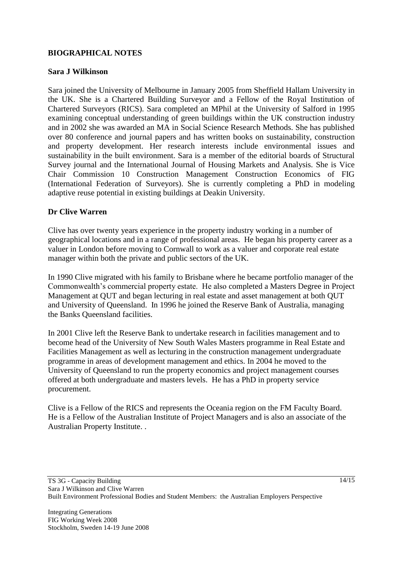# **BIOGRAPHICAL NOTES**

### **Sara J Wilkinson**

Sara joined the University of Melbourne in January 2005 from Sheffield Hallam University in the UK. She is a Chartered Building Surveyor and a Fellow of the Royal Institution of Chartered Surveyors (RICS). Sara completed an MPhil at the University of Salford in 1995 examining conceptual understanding of green buildings within the UK construction industry and in 2002 she was awarded an MA in Social Science Research Methods. She has published over 80 conference and journal papers and has written books on sustainability, construction and property development. Her research interests include environmental issues and sustainability in the built environment. Sara is a member of the editorial boards of Structural Survey journal and the International Journal of Housing Markets and Analysis. She is Vice Chair Commission 10 Construction Management Construction Economics of FIG (International Federation of Surveyors). She is currently completing a PhD in modeling adaptive reuse potential in existing buildings at Deakin University.

# **Dr Clive Warren**

Clive has over twenty years experience in the property industry working in a number of geographical locations and in a range of professional areas. He began his property career as a valuer in London before moving to Cornwall to work as a valuer and corporate real estate manager within both the private and public sectors of the UK.

In 1990 Clive migrated with his family to Brisbane where he became portfolio manager of the Commonwealth's commercial property estate. He also completed a Masters Degree in Project Management at QUT and began lecturing in real estate and asset management at both QUT and University of Queensland. In 1996 he joined the Reserve Bank of Australia, managing the Banks Queensland facilities.

In 2001 Clive left the Reserve Bank to undertake research in facilities management and to become head of the University of New South Wales Masters programme in Real Estate and Facilities Management as well as lecturing in the construction management undergraduate programme in areas of development management and ethics. In 2004 he moved to the University of Queensland to run the property economics and project management courses offered at both undergraduate and masters levels. He has a PhD in property service procurement.

Clive is a Fellow of the RICS and represents the Oceania region on the FM Faculty Board. He is a Fellow of the Australian Institute of Project Managers and is also an associate of the Australian Property Institute. .